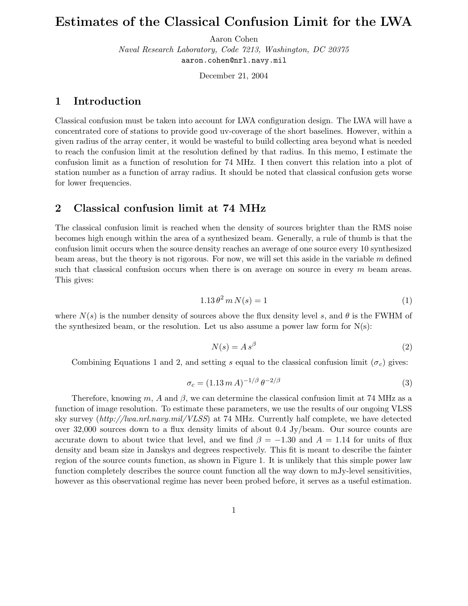# Estimates of the Classical Confusion Limit for the LWA

Aaron Cohen Naval Research Laboratory, Code 7213, Washington, DC 20375 aaron.cohen@nrl.navy.mil

December 21, 2004

### 1 Introduction

Classical confusion must be taken into account for LWA configuration design. The LWA will have a concentrated core of stations to provide good uv-coverage of the short baselines. However, within a given radius of the array center, it would be wasteful to build collecting area beyond what is needed to reach the confusion limit at the resolution defined by that radius. In this memo, I estimate the confusion limit as a function of resolution for 74 MHz. I then convert this relation into a plot of station number as a function of array radius. It should be noted that classical confusion gets worse for lower frequencies.

### 2 Classical confusion limit at 74 MHz

The classical confusion limit is reached when the density of sources brighter than the RMS noise becomes high enough within the area of a synthesized beam. Generally, a rule of thumb is that the confusion limit occurs when the source density reaches an average of one source every 10 synthesized beam areas, but the theory is not rigorous. For now, we will set this aside in the variable m defined such that classical confusion occurs when there is on average on source in every  $m$  beam areas. This gives:

$$
1.13\,\theta^2\,m\,N(s) = 1\tag{1}
$$

where  $N(s)$  is the number density of sources above the flux density level s, and  $\theta$  is the FWHM of the synthesized beam, or the resolution. Let us also assume a power law form for  $N(s)$ :

$$
N(s) = A s^{\beta} \tag{2}
$$

Combining Equations 1 and 2, and setting s equal to the classical confusion limit ( $\sigma_c$ ) gives:

$$
\sigma_c = (1.13 \, m \, A)^{-1/\beta} \, \theta^{-2/\beta} \tag{3}
$$

Therefore, knowing m, A and  $\beta$ , we can determine the classical confusion limit at 74 MHz as a function of image resolution. To estimate these parameters, we use the results of our ongoing VLSS sky survey (http://lwa.nrl.navy.mil/VLSS) at 74 MHz. Currently half complete, we have detected over 32,000 sources down to a flux density limits of about 0.4 Jy/beam. Our source counts are accurate down to about twice that level, and we find  $\beta = -1.30$  and  $A = 1.14$  for units of flux density and beam size in Janskys and degrees respectively. This fit is meant to describe the fainter region of the source counts function, as shown in Figure 1. It is unlikely that this simple power law function completely describes the source count function all the way down to mJy-level sensitivities, however as this observational regime has never been probed before, it serves as a useful estimation.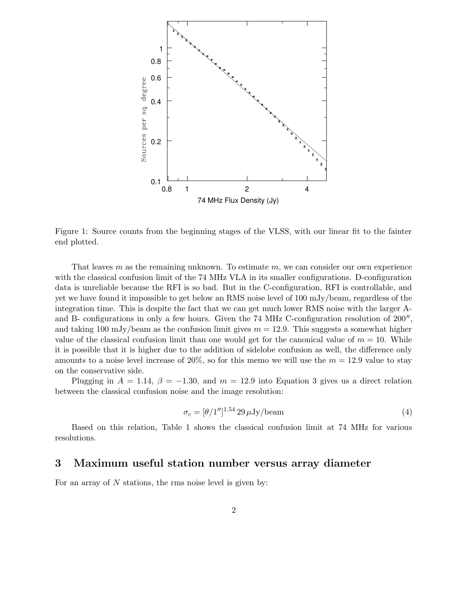

Figure 1: Source counts from the beginning stages of the VLSS, with our linear fit to the fainter end plotted.

That leaves  $m$  as the remaining unknown. To estimate  $m$ , we can consider our own experience with the classical confusion limit of the 74 MHz VLA in its smaller configurations. D-configuration data is unreliable because the RFI is so bad. But in the C-configuration, RFI is controllable, and yet we have found it impossible to get below an RMS noise level of 100 mJy/beam, regardless of the integration time. This is despite the fact that we can get much lower RMS noise with the larger Aand B- configurations in only a few hours. Given the 74 MHz C-configuration resolution of  $200''$ , and taking 100 mJy/beam as the confusion limit gives  $m = 12.9$ . This suggests a somewhat higher value of the classical confusion limit than one would get for the canonical value of  $m = 10$ . While it is possible that it is higher due to the addition of sidelobe confusion as well, the difference only amounts to a noise level increase of 20%, so for this memo we will use the  $m = 12.9$  value to stay on the conservative side.

Plugging in  $A = 1.14$ ,  $\beta = -1.30$ , and  $m = 12.9$  into Equation 3 gives us a direct relation between the classical confusion noise and the image resolution:

$$
\sigma_c = [\theta/1'']^{1.54} 29 \,\mu\text{Jy/beam} \tag{4}
$$

Based on this relation, Table 1 shows the classical confusion limit at 74 MHz for various resolutions.

#### 3 Maximum useful station number versus array diameter

For an array of  $N$  stations, the rms noise level is given by: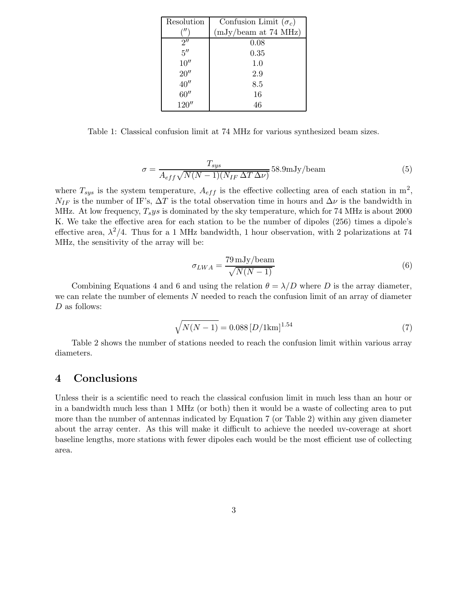| Resolution         | Confusion Limit $(\sigma_c)$ |
|--------------------|------------------------------|
|                    | $(mJy/beam$ at 74 MHz)       |
| $2^{\prime\prime}$ | 0.08                         |
| $5^{\prime\prime}$ | 0.35                         |
| 10''               | 1.0                          |
| 20''               | 2.9                          |
| 40''               | 8.5                          |
| 60''               | 16                           |
| $120''$            | 46                           |

Table 1: Classical confusion limit at 74 MHz for various synthesized beam sizes.

$$
\sigma = \frac{T_{sys}}{A_{eff}\sqrt{N(N-1)(N_{IF}\,\Delta T\,\Delta \nu)}}\,58.9 \,\text{mJy/beam} \tag{5}
$$

where  $T_{sys}$  is the system temperature,  $A_{eff}$  is the effective collecting area of each station in m<sup>2</sup>,  $N_{IF}$  is the number of IF's,  $\Delta T$  is the total observation time in hours and  $\Delta \nu$  is the bandwidth in MHz. At low frequency,  $T_s y s$  is dominated by the sky temperature, which for 74 MHz is about 2000 K. We take the effective area for each station to be the number of dipoles (256) times a dipole's effective area,  $\lambda^2/4$ . Thus for a 1 MHz bandwidth, 1 hour observation, with 2 polarizations at 74 MHz, the sensitivity of the array will be:

$$
\sigma_{LWA} = \frac{79 \,\mathrm{mJy/beam}}{\sqrt{N(N-1)}}\tag{6}
$$

Combining Equations 4 and 6 and using the relation  $\theta = \lambda/D$  where D is the array diameter, we can relate the number of elements N needed to reach the confusion limit of an array of diameter D as follows:

$$
\sqrt{N(N-1)} = 0.088 \,[D/1 \text{km}]^{1.54} \tag{7}
$$

Table 2 shows the number of stations needed to reach the confusion limit within various array diameters.

## 4 Conclusions

Unless their is a scientific need to reach the classical confusion limit in much less than an hour or in a bandwidth much less than 1 MHz (or both) then it would be a waste of collecting area to put more than the number of antennas indicated by Equation 7 (or Table 2) within any given diameter about the array center. As this will make it difficult to achieve the needed uv-coverage at short baseline lengths, more stations with fewer dipoles each would be the most efficient use of collecting area.